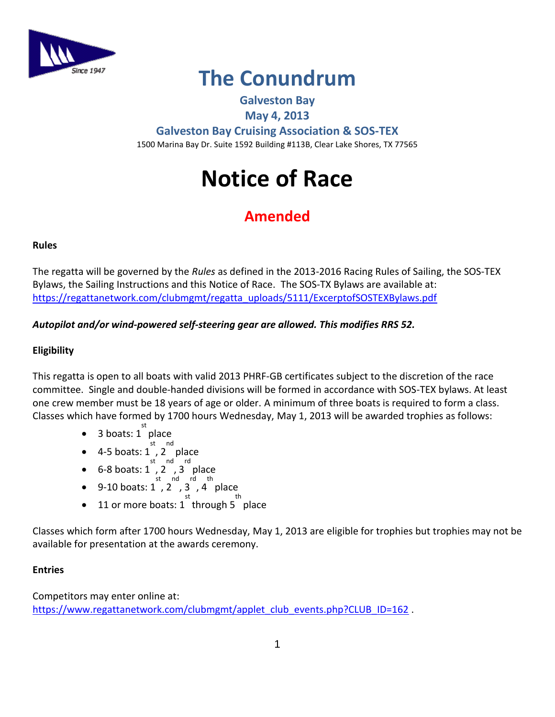

## **The Conundrum**

### **Galveston Bay**

#### **May 4, 2013**

**Galveston Bay Cruising Association & SOS-TEX** 1500 Marina Bay Dr. Suite 1592 Building #113B, Clear Lake Shores, TX 77565

# **Notice of Race**

## **Amended**

#### **Rules**

The regatta will be governed by the *Rules* as defined in the 2013-2016 Racing Rules of Sailing, the SOS-TEX Bylaws, the Sailing Instructions and this Notice of Race. The SOS-TX Bylaws are available at: [https://regattanetwork.com/clubmgmt/regatta\\_uploads/5111/ExcerptofSOSTEXBylaws.pdf](https://regattanetwork.com/clubmgmt/regatta_uploads/5111/ExcerptofSOSTEXBylaws.pdf)

#### *Autopilot and/or wind-powered self-steering gear are allowed. This modifies RRS 52.*

#### **Eligibility**

This regatta is open to all boats with valid 2013 PHRF-GB certificates subject to the discretion of the race committee. Single and double-handed divisions will be formed in accordance with SOS-TEX bylaws. At least one crew member must be 18 years of age or older. A minimum of three boats is required to form a class. Classes which have formed by 1700 hours Wednesday, May 1, 2013 will be awarded trophies as follows:

- 3 boats:  $1^{st}$  place
- $4-5$  boats: 1, 2 place
- 
- $6-8$  boats:  $1^{\circ}$ ,  $2^{\circ}$ ,  $3^{\circ}$  place
- 9-10 boats:  $1^{\text{st}}$ ,  $2^{\text{nd}}$ ,  $3^{\text{th}}$ ,  $4^{\text{place}}$
- st
- 11 or more boats: 1 through 5 place

Classes which form after 1700 hours Wednesday, May 1, 2013 are eligible for trophies but trophies may not be available for presentation at the awards ceremony.

#### **Entries**

Competitors may enter online at: [https://www.regattanetwork.com/clubmgmt/applet\\_club\\_events.php?CLUB\\_ID=162](https://www.regattanetwork.com/clubmgmt/applet_club_events.php?CLUB_ID=162).